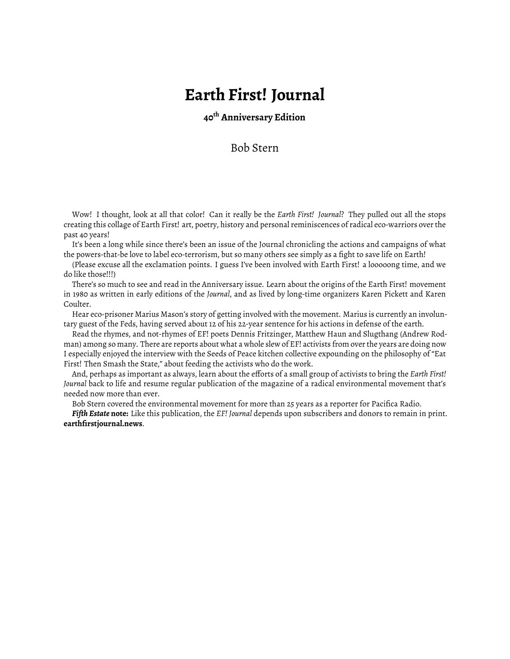## **Earth First! Journal**

**40th Anniversary Edition**

Bob Stern

Wow! I thought, look at all that color! Can it really be the *Earth First! Journal*? They pulled out all the stops creating this collage of Earth First! art, poetry, history and personal reminiscences of radical eco-warriors over the past 40 years!

It's been a long while since there's been an issue of the Journal chronicling the actions and campaigns of what the powers-that-be love to label eco-terrorism, but so many others see simply as a fight to save life on Earth!

(Please excuse all the exclamation points. I guess I've been involved with Earth First! a looooong time, and we do like those!!!)

There's so much to see and read in the Anniversary issue. Learn about the origins of the Earth First! movement in 1980 as written in early editions of the *Journal*, and as lived by long-time organizers Karen Pickett and Karen Coulter.

Hear eco-prisoner Marius Mason's story of getting involved with the movement. Marius is currently an involuntary guest of the Feds, having served about 12 of his 22-year sentence for his actions in defense of the earth.

Read the rhymes, and not-rhymes of EF! poets Dennis Fritzinger, Matthew Haun and Slugthang (Andrew Rodman) among so many. There are reports about what a whole slew of EF! activists from over the years are doing now I especially enjoyed the interview with the Seeds of Peace kitchen collective expounding on the philosophy of "Eat First! Then Smash the State," about feeding the activists who do the work.

And, perhaps as important as always, learn about the efforts of a small group of activists to bring the *Earth First! Journal* back to life and resume regular publication of the magazine of a radical environmental movement that's needed now more than ever.

Bob Stern covered the environmental movement for more than 25 years as a reporter for Pacifica Radio.

*Fifth Estate* **note:** Like this publication, the *EF! Journal* depends upon subscribers and donors to remain in print. **earthfirstjournal.news**.